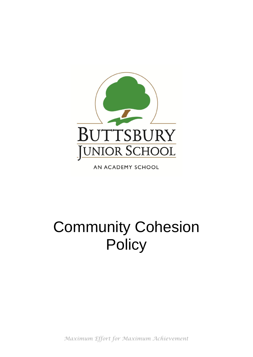

AN ACADEMY SCHOOL

# Community Cohesion **Policy**

*Maximum Effort for Maximum Achievement*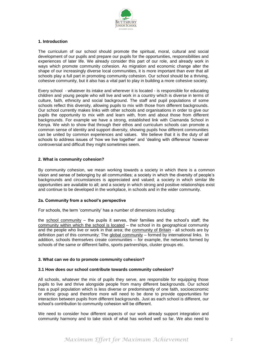

## **1. Introduction**

The curriculum of our school should promote the spiritual, moral, cultural and social development of our pupils and prepare our pupils for the opportunities, responsibilities and experiences of later life. We already consider this part of our role, and already work in ways which promote community cohesion. As migration and economic change alter the shape of our increasingly diverse local communities, it is more important than ever that all schools play a full part in promoting community cohesion. Our school should be a thriving, cohesive community, but it also has a vital part to play in building a more cohesive society.

Every school - whatever its intake and wherever it is located - is responsible for educating children and young people who will live and work in a country which is diverse in terms of culture, faith, ethnicity and social background. The staff and pupil populations of some schools reflect this diversity, allowing pupils to mix with those from different backgrounds. Our school currently makes links with other schools and organisations in order to give our pupils the opportunity to mix with and learn with, from and about those from different backgrounds. For example we have a strong, established link with Ciamanda School in Kenya. We wish to show that through their ethos and curriculum schools can promote a common sense of identity and support diversity, showing pupils how different communities can be united by common experiences and values. We believe that it is the duty of all schools to address issues of 'how we live together' and 'dealing with difference' however controversial and difficult they might sometimes seem.

## **2. What is community cohesion?**

By community cohesion, we mean working towards a society in which there is a common vision and sense of belonging by all communities; a society in which the diversity of people's backgrounds and circumstances is appreciated and valued; a society in which similar life opportunities are available to all; and a society in which strong and positive relationships exist and continue to be developed in the workplace, in schools and in the wider community.

#### **2a. Community from a school's perspective**

For schools, the term 'community' has a number of dimensions including:

the school community – the pupils it serves, their families and the school's staff; the community within which the school is located – the school in its geographical community and the people who live or work in that area; the community of Britain - all schools are by definition part of this community; The global community – formed by international links. In addition, schools themselves create communities – for example, the networks formed by schools of the same or different faiths, sports partnerships, cluster groups etc.

#### **3. What can we do to promote community cohesion?**

#### **3.1 How does our school contribute towards community cohesion?**

All schools, whatever the mix of pupils they serve, are responsible for equipping those pupils to live and thrive alongside people from many different backgrounds. Our school has a pupil population which is less diverse or predominantly of one faith, socioeconomic or ethnic group and therefore more will need to be done to provide opportunities for interaction between pupils from different backgrounds. Just as each school is different, our school's contribution to community cohesion will be different.

We need to consider how different aspects of our work already support integration and community harmony and to take stock of what has worked well so far. We also need to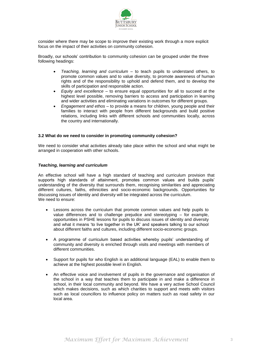

consider where there may be scope to improve their existing work through a more explicit focus on the impact of their activities on community cohesion.

Broadly, our schools' contribution to community cohesion can be grouped under the three following headings:

- *Teaching, learning and curriculum* to teach pupils to understand others, to promote common values and to value diversity, to promote awareness of human rights and of the responsibility to uphold and defend them, and to develop the skills of participation and responsible action.
- *Equity and excellence* to ensure equal opportunities for all to succeed at the highest level possible, removing barriers to access and participation in learning and wider activities and eliminating variations in outcomes for different groups.
- *Engagement and ethos* to provide a means for children, young people and their families to interact with people from different backgrounds and build positive relations, including links with different schools and communities locally, across the country and internationally.

#### **3.2 What do we need to consider in promoting community cohesion?**

We need to consider what activities already take place within the school and what might be arranged in cooperation with other schools.

## *Teaching, learning and curriculum*

An effective school will have a high standard of teaching and curriculum provision that supports high standards of attainment, promotes common values and builds pupils' understanding of the diversity that surrounds them, recognising similarities and appreciating different cultures, faiths, ethnicities and socio-economic backgrounds. Opportunities for discussing issues of identity and diversity will be integrated across the curriculum. We need to ensure:

- Lessons across the curriculum that promote common values and help pupils to value differences and to challenge prejudice and stereotyping – for example, opportunities in PSHE lessons for pupils to discuss issues of identity and diversity and what it means 'to live together in the UK' and speakers talking to our school about different faiths and cultures, including different socio-economic groups.
- A programme of curriculum based activities whereby pupils' understanding of community and diversity is enriched through visits and meetings with members of different communities.
- Support for pupils for who English is an additional language (EAL) to enable them to achieve at the highest possible level in English.
- An effective voice and involvement of pupils in the governance and organisation of the school in a way that teaches them to participate in and make a difference in school, in their local community and beyond. We have a very active School Council which makes decisions, such as which charities to support and meets with visitors such as local councillors to influence policy on matters such as road safety in our local area.